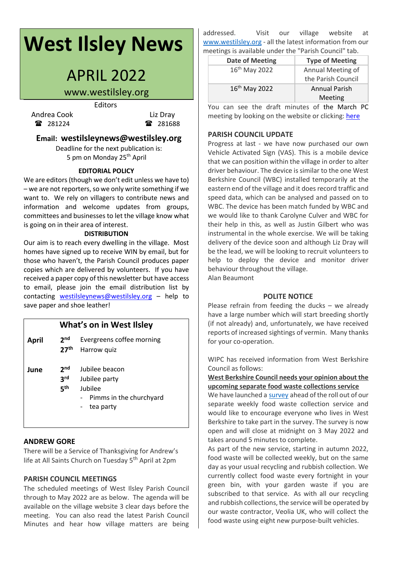# **West Ilsley News**

# APRIL 2022

# www.westilsley.org

Editors

Andrea Cook Liz Dray 281224 281688

### **Email: westilsleynews@westilsley.org**

Deadline for the next publication is: 5 pm on Monday 25<sup>th</sup> April

#### **EDITORIAL POLICY**

We are editors (though we don't edit unless we have to)  $-$  we are not reporters, so we only write something if we want to. We rely on villagers to contribute news and information and welcome updates from groups, committees and businesses to let the village know what is going on in their area of interest.

#### **DISTRIBUTION**

Our aim is to reach every dwelling in the village. Most homes have signed up to receive WIN by email, but for those who haven't, the Parish Council produces paper copies which are delivered by volunteers. If you have received a paper copy of this newsletter but have access to email, please join the email distribution list by contacting [westilsleynews@westilsley.org](mailto:westilsleynews@westilsley.org) – help to save paper and shoe leather!

# **What's on in West Ilsley**

- **April 2 Evergreens coffee morning 27th** Harrow quiz **June 2 Jubilee beacon** 
	- **3** Jubilee party
		- **5 th** Jubilee
			- - Pimms in the churchyard
				- tea party

#### **ANDREW GORE**

There will be a Service of Thanksgiving for Andrew's life at All Saints Church on Tuesday 5<sup>th</sup> April at 2pm

#### **PARISH COUNCIL MEETINGS**

The scheduled meetings of West Ilsley Parish Council through to May 2022 are as below. The agenda will be available on the village website 3 clear days before the meeting. You can also read the latest Parish Council Minutes and hear how village matters are being addressed. Visit our village website at [www.westilsley.org](https://emea01.safelinks.protection.outlook.com/?url=http%3A%2F%2Fwww.westilsley.org%2F&data=04%7C01%7C%7C68d5140e863344d0f7d508d9146e9847%7C84df9e7fe9f640afb435aaaaaaaaaaaa%7C1%7C0%7C637563287495181686%7CUnknown%7CTWFpbGZsb3d8eyJWIjoiMC4wLjAwMDAiLCJQIjoiV2luMzIiLCJBTiI6Ik1haWwiLCJXVCI6Mn0%3D%7C1000&sdata=2lx64LgF0%2F9MZCg5U2WhPVm1NSnIgt1c0aHmd9irJHE%3D&reserved=0) - all the latest information from our meetings is available under the "Parish Council" tab.

| <b>Date of Meeting</b>    | <b>Type of Meeting</b> |  |
|---------------------------|------------------------|--|
| 16 <sup>th</sup> May 2022 | Annual Meeting of      |  |
|                           | the Parish Council     |  |
| 16 <sup>th</sup> May 2022 | <b>Annual Parish</b>   |  |
|                           | Meeting                |  |

You can see the draft minutes of the March PC meeting by looking on the website or clicking: [here](https://www.westilsley.org/shared/attachments.asp?f=761b7353%2D8900%2D47bc%2Db43a%2D13c408214e61%2Epdf&o=2022%2D03%2D14%2DFull%2DCouncil%2DMinutes%2Epdf)

#### **PARISH COUNCIL UPDATE**

Progress at last - we have now purchased our own Vehicle Activated Sign (VAS). This is a mobile device that we can position within the village in order to alter driver behaviour. The device is similar to the one West Berkshire Council (WBC) installed temporarily at the eastern end of the village and it does record traffic and speed data, which can be analysed and passed on to WBC. The device has been match funded by WBC and we would like to thank Carolyne Culver and WBC for their help in this, as well as Justin Gilbert who was instrumental in the whole exercise. We will be taking delivery of the device soon and although Liz Dray will be the lead, we will be looking to recruit volunteers to help to deploy the device and monitor driver behaviour throughout the village. Alan Beaumont

#### **POLITE NOTICE**

Please refrain from feeding the ducks – we already have a large number which will start breeding shortly (if not already) and, unfortunately, we have received reports of increased sightings of vermin. Many thanks for your co-operation.

WIPC has received information from West Berkshire Council as follows:

#### **West Berkshire Council needs your opinion about the upcoming separate food waste collections service**

We have launched a [survey](http://www.westberks.gov.uk/WBCfoodwaste) ahead of the roll out of our separate weekly food waste collection service and would like to encourage everyone who lives in West Berkshire to take part in the survey. The survey is now open and will close at midnight on 3 May 2022 and takes around 5 minutes to complete.

As part of the new service, starting in autumn 2022, food waste will be collected weekly, but on the same day as your usual recycling and rubbish collection. We currently collect food waste every fortnight in your green bin, with your garden waste if you are subscribed to that service. As with all our recycling and rubbish collections, the service will be operated by our waste contractor, Veolia UK, who will collect the food waste using eight new purpose-built vehicles.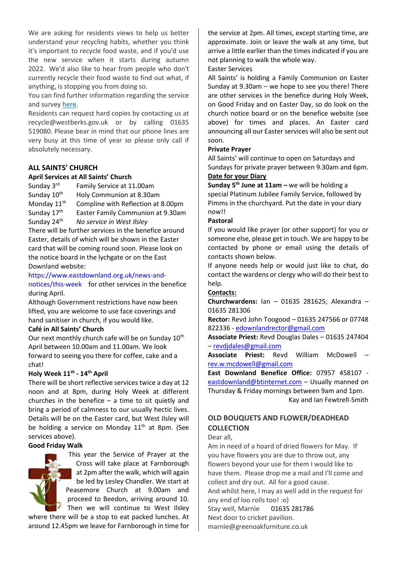We are asking for residents views to help us better understand your recycling habits, whether you think it's important to recycle food waste, and if you'd use the new service when it starts during autumn 2022. We'd also like to hear from people who don't currently recycle their food waste to find out what, if anything, is stopping you from doing so.

You can find further information regarding the service and survey [here.](https://www.westberks.gov.uk/article/39536/West-Berkshire-Council-needs-your-opinion-about-the-upcoming-separate-food-waste-collections-service)

Residents can request hard copies by contacting us at recycle@westberks.gov.uk or by calling 01635 519080. Please bear in mind that our phone lines are very busy at this time of year so please only call if absolutely necessary.

#### **ALL SAINTS' CHURCH**

#### **April Services at All Saints' Church**

Sunday 3<sup>rd</sup> Family Service at 11.00am Sunday  $10^{th}$  Holy Communion at 8.30am Monday 11<sup>th</sup> Compline with Reflection at 8.00pm Sunday 17th Easter Family Communion at 9.30am Sunday 24th *No service in West Ilsley*

There will be further services in the benefice around Easter, details of which will be shown in the Easter card that will be coming round soon. Please look on the notice board in the lychgate or on the East Downland website:

[https://www.eastdownland.org.uk/news-and](https://www.eastdownland.org.uk/news-and-notices/this-week)[notices/this-week](https://www.eastdownland.org.uk/news-and-notices/this-week) for other services in the benefice during April.

Although Government restrictions have now been lifted, you are welcome to use face coverings and hand sanitiser in church, if you would like.

#### **Café in All Saints' Church**

Our next monthly church cafe will be on Sunday 10<sup>th</sup> April between 10.00am and 11.00am. We look forward to seeing you there for coffee, cake and a chat!

#### **Holy Week 11th - 14th April**

There will be short reflective services twice a day at 12 noon and at 8pm, during Holy Week at different churches in the benefice  $-$  a time to sit quietly and bring a period of calmness to our usually hectic lives. Details will be on the Easter card, but West Ilsley will be holding a service on Monday  $11<sup>th</sup>$  at 8pm. (See services above).

#### **Good Friday Walk**



This year the Service of Prayer at the Cross will take place at Farnborough at 2pm after the walk, which will again be led by Lesley Chandler. We start at Peasemore Church at 9.00am and proceed to Beedon, arriving around 10. Then we will continue to West Ilsley

where there will be a stop to eat packed lunches. At around 12.45pm we leave for Farnborough in time for the service at 2pm. All times, except starting time, are approximate. Join or leave the walk at any time, but arrive a little earlier than the times indicated if you are not planning to walk the whole way.

#### Easter Services

All Saints' is holding a Family Communion on Easter Sunday at 9.30am – we hope to see you there! There are other services in the benefice during Holy Week, on Good Friday and on Easter Day, so do look on the church notice board or on the benefice website (see above) for times and places. An Easter card announcing all our Easter services will also be sent out soon.

#### **Private Prayer**

All Saints' will continue to open on Saturdays and Sundays for private prayer between 9.30am and 6pm. **Date for your Diary**

**Sunday 5th June at 11am –** we will be holding a special Platinum Jubilee Family Service, followed by Pimms in the churchyard. Put the date in your diary now!!

#### **Pastoral**

If you would like prayer (or other support) for you or someone else, please get in touch. We are happy to be contacted by phone or email using the details of contacts shown below.

If anyone needs help or would just like to chat, do contact the wardens or clergy who will do their best to help.

#### **Contacts:**

**Churchwardens:** Ian – 01635 281625; Alexandra – 01635 281306

**Rector:** Revd John Toogood – 01635 247566 or 07748 822336 - [edownlandrector@gmail.com](mailto:edownlandrector@gmail.com)

**Associate Priest:** Revd Douglas Dales – 01635 247404 – [revdjdales@gmail.com](mailto:revdjdales@gmail.com)

**Associate Priest:** Revd William McDowell – [rev.w.mcdowell@gmail.com](mailto:rev.w.mcdowell@gmail.com)

**East Downland Benefice Office:** 07957 458107 [eastdownland@btinternet.com](mailto:eastdownland@btinternet.com) - Usually manned on Thursday & Friday mornings between 9am and 1pm. Kay and Ian Fewtrell-Smith

# **OLD BOUQUETS AND FLOWER/DEADHEAD COLLECTION**

Dear all,

Am in need of a hoard of dried flowers for May. If you have flowers you are due to throw out, any flowers beyond your use for them I would like to have them. Please drop me a mail and I'll come and collect and dry out. All for a good cause. And whilst here, I may as well add in the request for any end of loo rolls too! :o) Stay well, Marnie 01635 281786 Next door to cricket pavilion. marnie@greenoakfurniture.co.uk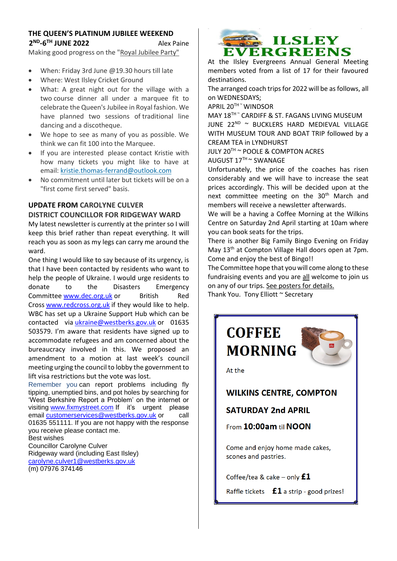# **THE QUEEN'S PLATINUM JUBILEE WEEKEND 2 ND -6 TH JUNE 2022** Alex Paine

Making good progress on the "Royal Jubilee Party"

- When: Friday 3rd June @19.30 hours till late
- Where: West Ilsley Cricket Ground
- What: A great night out for the village with a two course dinner all under a marquee fit to celebrate the Queen's Jubilee in Royal fashion. We have planned two sessions of traditional line dancing and a discotheque.
- We hope to see as many of you as possible. We think we can fit 100 into the Marquee.
- If you are interested please contact Kristie with how many tickets you might like to have at email: [kristie.thomas-ferrand@outlook.com](mailto:kristie.thomas-ferrand@outlook.com)
- No commitment until later but tickets will be on a "first come first served" basis.

# **UPDATE FROM CAROLYNE CULVER DISTRICT COUNCILLOR FOR RIDGEWAY WARD**

My latest newsletter is currently at the printer so I will keep this brief rather than repeat everything. It will reach you as soon as my legs can carry me around the ward.

One thing I would like to say because of its urgency, is that I have been contacted by residents who want to help the people of Ukraine. I would urge residents to donate to the Disasters Emergency Committee [www.dec.org.uk](http://www.dec.org.uk/) or British Red Cross [www.redcross.org.uk](http://www.redcross.org.uk/) if they would like to help. WBC has set up a Ukraine Support Hub which can be contacted via *[ukraine@westberks.gov.uk](mailto:ukraine@westberks.gov.uk)* or 01635 503579. I'm aware that residents have signed up to accommodate refugees and am concerned about the bureaucracy involved in this. We proposed an amendment to a motion at last week's council meeting urging the council to lobby the government to lift visa restrictions but the vote was lost.

Remember you can report problems including fly tipping, unemptied bins, and pot holes by searching for 'West Berkshire Report a Problem' on the internet or visiting [www.fixmystreet.com](http://www.fixmystreet.com/) If it's urgent please email [customerservices@westberks.gov.uk](mailto:customerservices@westberks.gov.uk) or call 01635 551111. If you are not happy with the response you receive please contact me.

Best wishes Councillor Carolyne Culver Ridgeway ward (including East Ilsley) [carolyne.culver1@westberks.gov.uk](mailto:carolyne.culver1@westberks.gov.uk) (m) 07976 374146



At the Ilsley Evergreens Annual General Meeting members voted from a list of 17 for their favoured destinations.

The arranged coach trips for 2022 will be as follows, all on WEDNESDAYS;

APRIL 20TH ~ WINDSOR

MAY 18TH ~ CARDIFF & ST. FAGANS LIVING MUSEUM JUNE 22<sup>ND</sup> ~ BUCKLERS HARD MEDIEVAL VILLAGE WITH MUSEUM TOUR AND BOAT TRIP followed by a CREAM TEA in LYNDHURST

JULY 20TH ~ POOLE & COMPTON ACRES AUGUST 17TH ~ SWANAGE

Unfortunately, the price of the coaches has risen considerably and we will have to increase the seat prices accordingly. This will be decided upon at the next committee meeting on the 30<sup>th</sup> March and members will receive a newsletter afterwards.

We will be a having a Coffee Morning at the Wilkins Centre on Saturday 2nd April starting at 10am where you can book seats for the trips.

There is another Big Family Bingo Evening on Friday May 13<sup>th</sup> at Compton Village Hall doors open at 7pm. Come and enjoy the best of Bingo!!

The Committee hope that you will come along to these fundraising events and you are all welcome to join us on any of our trips. See posters for details.

Thank You. Tony Elliott ~ Secretary

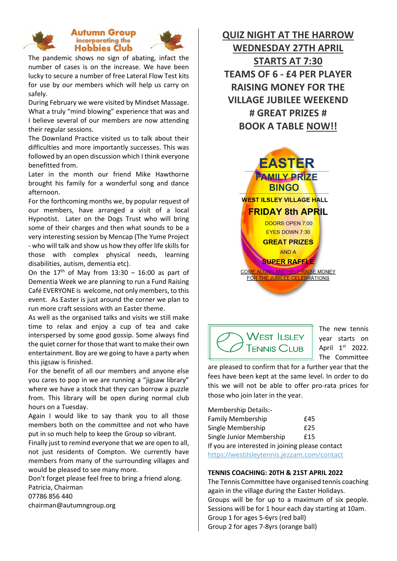

#### **Autumn Group** incorporating the **Hobbies Club**



The pandemic shows no sign of abating, infact the number of cases is on the increase. We have been lucky to secure a number of free Lateral Flow Test kits for use by our members which will help us carry on safely.

During February we were visited by Mindset Massage. What a truly "mind blowing" experience that was and I believe several of our members are now attending their regular sessions.

The Downland Practice visited us to talk about their difficulties and more importantly successes. This was followed by an open discussion which I think everyone benefitted from.

Later in the month our friend Mike Hawthorne brought his family for a wonderful song and dance afternoon.

For the forthcoming months we, by popular request of our members, have arranged a visit of a local Hypnotist. Later on the Dogs Trust who will bring some of their charges and then what sounds to be a very interesting session by Mencap (The Yume Project - who will talk and show us how they offer life skills for those with complex physical needs, learning disabilities, autism, dementia etc).

On the  $17<sup>th</sup>$  of May from  $13:30 - 16:00$  as part of Dementia Week we are planning to run a Fund Raising Café EVERYONE is welcome, not only members, to this event. As Easter is just around the corner we plan to run more craft sessions with an Easter theme.

As well as the organised talks and visits we still make time to relax and enjoy a cup of tea and cake interspersed by some good gossip. Some always find the quiet corner for those that want to make their own entertainment. Boy are we going to have a party when this jigsaw is finished.

For the benefit of all our members and anyone else you cares to pop in we are running a "jigsaw library" where we have a stock that they can borrow a puzzle from. This library will be open during normal club hours on a Tuesday.

Again I would like to say thank you to all those members both on the committee and not who have put in so much help to keep the Group so vibrant.

Finally just to remind everyone that we are open to all, not just residents of Compton. We currently have members from many of the surrounding villages and would be pleased to see many more.

Don't forget please feel free to bring a friend along. Patricia, Chairman 07786 856 440 chairman@autumngroup.org

**QUIZ NIGHT AT THE HARROW WEDNESDAY 27TH APRIL STARTS AT 7:30 TEAMS OF 6 - £4 PER PLAYER RAISING MONEY FOR THE VILLAGE JUBILEE WEEKEND # GREAT PRIZES # BOOK A TABLE NOW!!**





The new tennis year starts on April 1st 2022. The Committee

are pleased to confirm that for a further year that the fees have been kept at the same level. In order to do this we will not be able to offer pro-rata prices for those who join later in the year.

Membership Details:-  $\cdot$ il $\cdot$  Me $\cdot$ ashap  $\vdots$ 

| <b>Family Membership</b>                        | £45 |  |
|-------------------------------------------------|-----|--|
| Single Membership                               | £25 |  |
| Single Junior Membership                        | £15 |  |
| If you are interested in joining please contact |     |  |
| https://westilsleytennis.jezzam.com/contact     |     |  |

#### **TENNIS COACHING: 20TH & 21ST APRIL 2022**

The Tennis Committee have organised tennis coaching again in the village during the Easter Holidays. Groups will be for up to a maximum of six people. Sessions will be for 1 hour each day starting at 10am. Group 1 for ages 5-6yrs (red ball) Group 2 for ages 7-8yrs (orange ball)